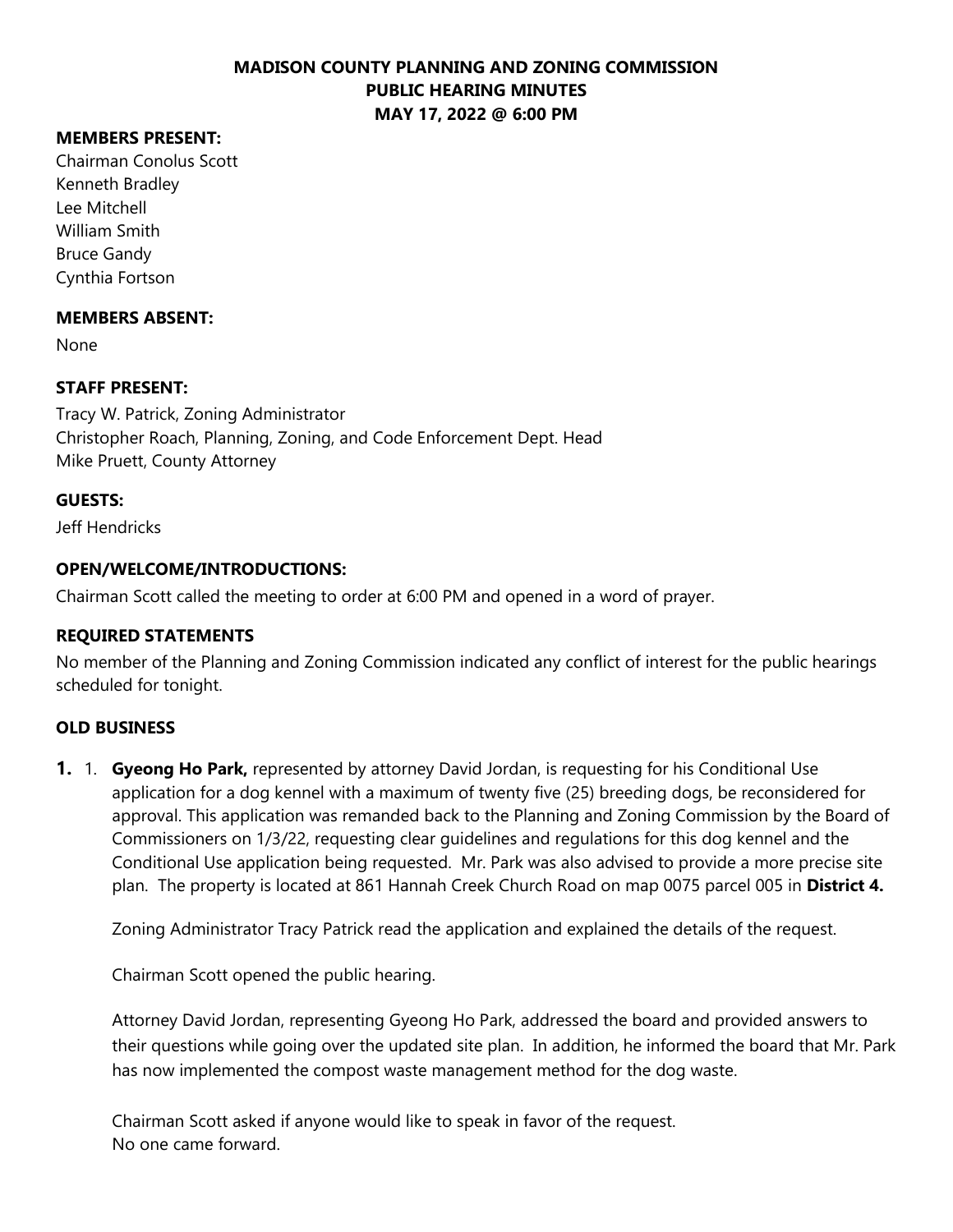# **MEMBERS PRESENT:**

Chairman Conolus Scott Kenneth Bradley Lee Mitchell William Smith Bruce Gandy Cynthia Fortson

#### **MEMBERS ABSENT:**

None

### **STAFF PRESENT:**

Tracy W. Patrick, Zoning Administrator Christopher Roach, Planning, Zoning, and Code Enforcement Dept. Head Mike Pruett, County Attorney

### **GUESTS:**

Jeff Hendricks

### **OPEN/WELCOME/INTRODUCTIONS:**

Chairman Scott called the meeting to order at 6:00 PM and opened in a word of prayer.

### **REQUIRED STATEMENTS**

No member of the Planning and Zoning Commission indicated any conflict of interest for the public hearings scheduled for tonight.

### **OLD BUSINESS**

**1.** 1. **Gyeong Ho Park,** represented by attorney David Jordan, is requesting for his Conditional Use application for a dog kennel with a maximum of twenty five (25) breeding dogs, be reconsidered for approval. This application was remanded back to the Planning and Zoning Commission by the Board of Commissioners on 1/3/22, requesting clear guidelines and regulations for this dog kennel and the Conditional Use application being requested. Mr. Park was also advised to provide a more precise site plan. The property is located at 861 Hannah Creek Church Road on map 0075 parcel 005 in **District 4.**

Zoning Administrator Tracy Patrick read the application and explained the details of the request.

Chairman Scott opened the public hearing.

Attorney David Jordan, representing Gyeong Ho Park, addressed the board and provided answers to their questions while going over the updated site plan. In addition, he informed the board that Mr. Park has now implemented the compost waste management method for the dog waste.

Chairman Scott asked if anyone would like to speak in favor of the request. No one came forward.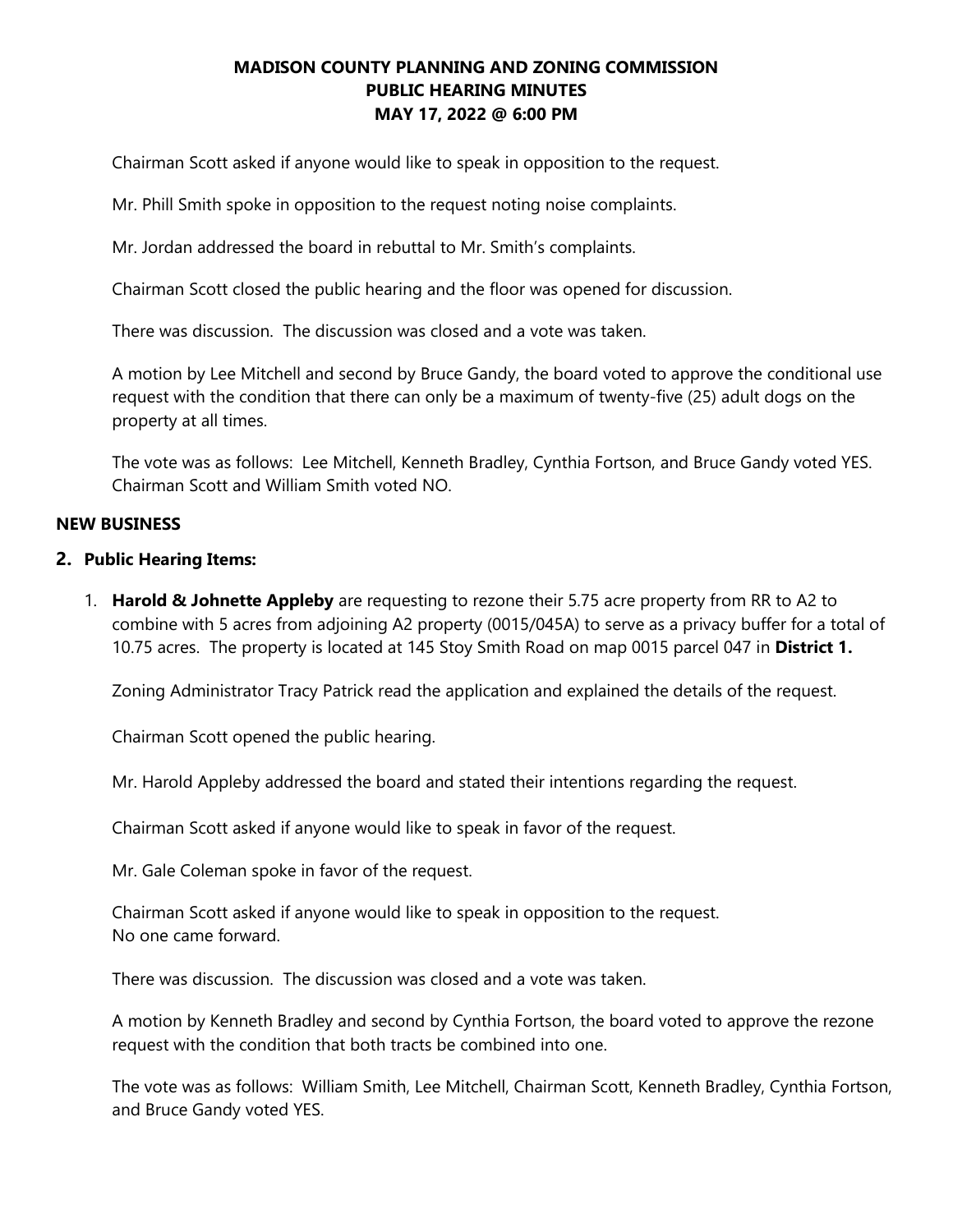Chairman Scott asked if anyone would like to speak in opposition to the request.

Mr. Phill Smith spoke in opposition to the request noting noise complaints.

Mr. Jordan addressed the board in rebuttal to Mr. Smith's complaints.

Chairman Scott closed the public hearing and the floor was opened for discussion.

There was discussion. The discussion was closed and a vote was taken.

A motion by Lee Mitchell and second by Bruce Gandy, the board voted to approve the conditional use request with the condition that there can only be a maximum of twenty-five (25) adult dogs on the property at all times.

The vote was as follows: Lee Mitchell, Kenneth Bradley, Cynthia Fortson, and Bruce Gandy voted YES. Chairman Scott and William Smith voted NO.

#### **NEW BUSINESS**

#### **2. Public Hearing Items:**

1. **Harold & Johnette Appleby** are requesting to rezone their 5.75 acre property from RR to A2 to combine with 5 acres from adjoining A2 property (0015/045A) to serve as a privacy buffer for a total of 10.75 acres. The property is located at 145 Stoy Smith Road on map 0015 parcel 047 in **District 1.**

Zoning Administrator Tracy Patrick read the application and explained the details of the request.

Chairman Scott opened the public hearing.

Mr. Harold Appleby addressed the board and stated their intentions regarding the request.

Chairman Scott asked if anyone would like to speak in favor of the request.

Mr. Gale Coleman spoke in favor of the request.

Chairman Scott asked if anyone would like to speak in opposition to the request. No one came forward.

There was discussion. The discussion was closed and a vote was taken.

A motion by Kenneth Bradley and second by Cynthia Fortson, the board voted to approve the rezone request with the condition that both tracts be combined into one.

The vote was as follows: William Smith, Lee Mitchell, Chairman Scott, Kenneth Bradley, Cynthia Fortson, and Bruce Gandy voted YES.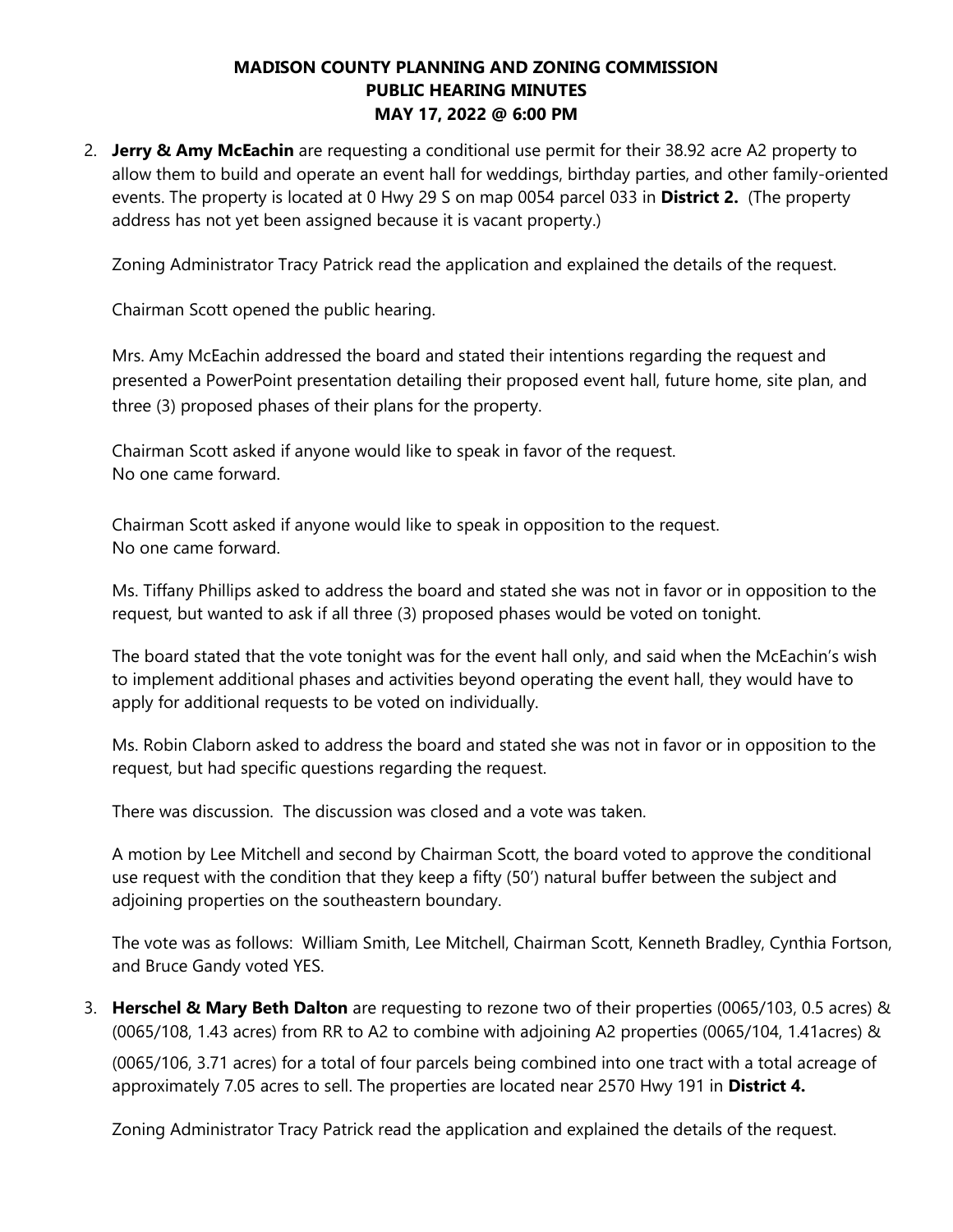2. **Jerry & Amy McEachin** are requesting a conditional use permit for their 38.92 acre A2 property to allow them to build and operate an event hall for weddings, birthday parties, and other family-oriented events. The property is located at 0 Hwy 29 S on map 0054 parcel 033 in **District 2.** (The property address has not yet been assigned because it is vacant property.)

Zoning Administrator Tracy Patrick read the application and explained the details of the request.

Chairman Scott opened the public hearing.

Mrs. Amy McEachin addressed the board and stated their intentions regarding the request and presented a PowerPoint presentation detailing their proposed event hall, future home, site plan, and three (3) proposed phases of their plans for the property.

Chairman Scott asked if anyone would like to speak in favor of the request. No one came forward.

Chairman Scott asked if anyone would like to speak in opposition to the request. No one came forward.

Ms. Tiffany Phillips asked to address the board and stated she was not in favor or in opposition to the request, but wanted to ask if all three (3) proposed phases would be voted on tonight.

The board stated that the vote tonight was for the event hall only, and said when the McEachin's wish to implement additional phases and activities beyond operating the event hall, they would have to apply for additional requests to be voted on individually.

Ms. Robin Claborn asked to address the board and stated she was not in favor or in opposition to the request, but had specific questions regarding the request.

There was discussion. The discussion was closed and a vote was taken.

A motion by Lee Mitchell and second by Chairman Scott, the board voted to approve the conditional use request with the condition that they keep a fifty (50') natural buffer between the subject and adjoining properties on the southeastern boundary.

The vote was as follows: William Smith, Lee Mitchell, Chairman Scott, Kenneth Bradley, Cynthia Fortson, and Bruce Gandy voted YES.

3. **Herschel & Mary Beth Dalton** are requesting to rezone two of their properties (0065/103, 0.5 acres) & (0065/108, 1.43 acres) from RR to A2 to combine with adjoining A2 properties (0065/104, 1.41acres) &

(0065/106, 3.71 acres) for a total of four parcels being combined into one tract with a total acreage of approximately 7.05 acres to sell. The properties are located near 2570 Hwy 191 in **District 4.** 

Zoning Administrator Tracy Patrick read the application and explained the details of the request.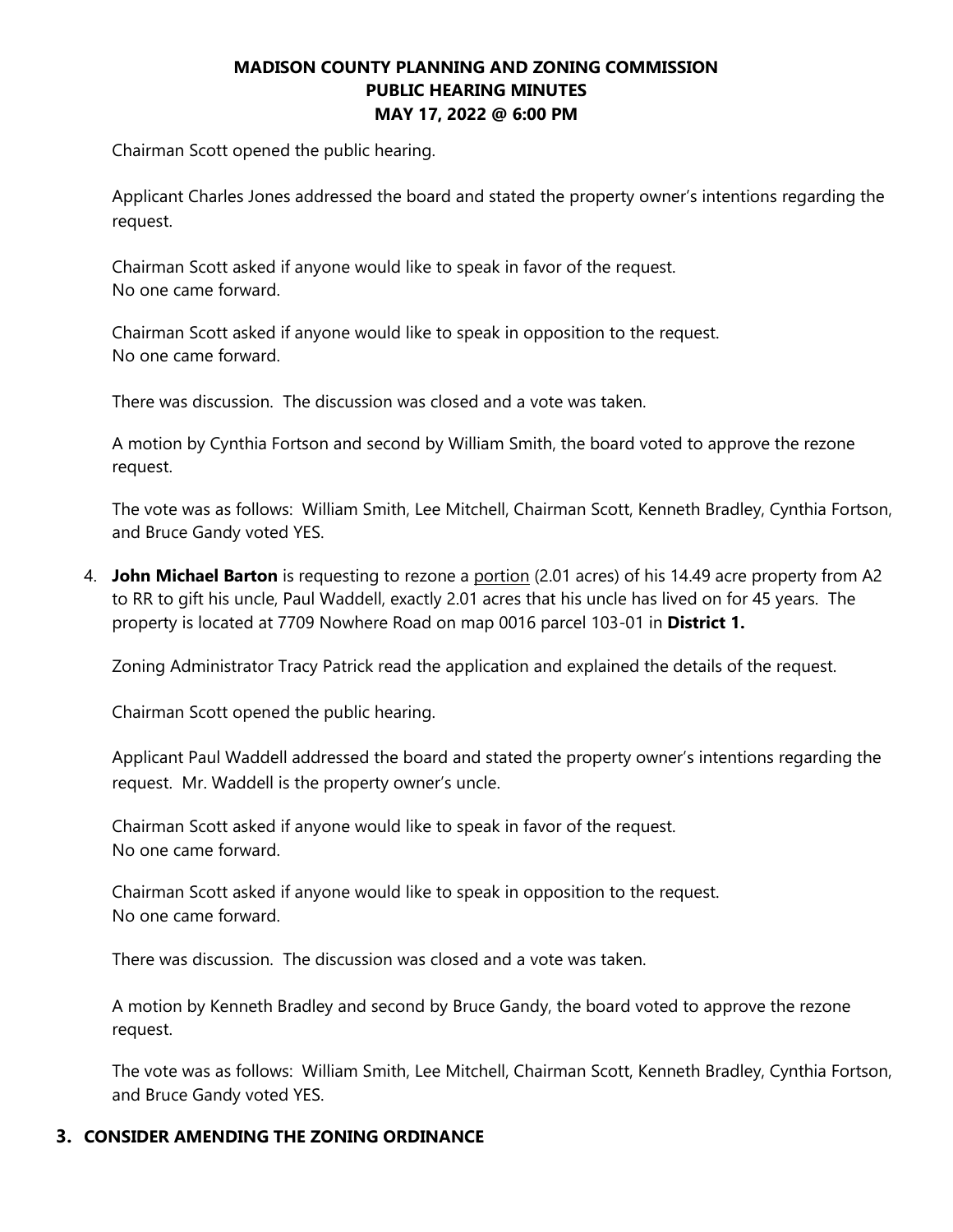Chairman Scott opened the public hearing.

Applicant Charles Jones addressed the board and stated the property owner's intentions regarding the request.

Chairman Scott asked if anyone would like to speak in favor of the request. No one came forward.

Chairman Scott asked if anyone would like to speak in opposition to the request. No one came forward.

There was discussion. The discussion was closed and a vote was taken.

A motion by Cynthia Fortson and second by William Smith, the board voted to approve the rezone request.

The vote was as follows: William Smith, Lee Mitchell, Chairman Scott, Kenneth Bradley, Cynthia Fortson, and Bruce Gandy voted YES.

4. **John Michael Barton** is requesting to rezone a portion (2.01 acres) of his 14.49 acre property from A2 to RR to gift his uncle, Paul Waddell, exactly 2.01 acres that his uncle has lived on for 45 years. The property is located at 7709 Nowhere Road on map 0016 parcel 103-01 in **District 1.**

Zoning Administrator Tracy Patrick read the application and explained the details of the request.

Chairman Scott opened the public hearing.

Applicant Paul Waddell addressed the board and stated the property owner's intentions regarding the request. Mr. Waddell is the property owner's uncle.

Chairman Scott asked if anyone would like to speak in favor of the request. No one came forward.

Chairman Scott asked if anyone would like to speak in opposition to the request. No one came forward.

There was discussion. The discussion was closed and a vote was taken.

A motion by Kenneth Bradley and second by Bruce Gandy, the board voted to approve the rezone request.

The vote was as follows: William Smith, Lee Mitchell, Chairman Scott, Kenneth Bradley, Cynthia Fortson, and Bruce Gandy voted YES.

### **3. CONSIDER AMENDING THE ZONING ORDINANCE**